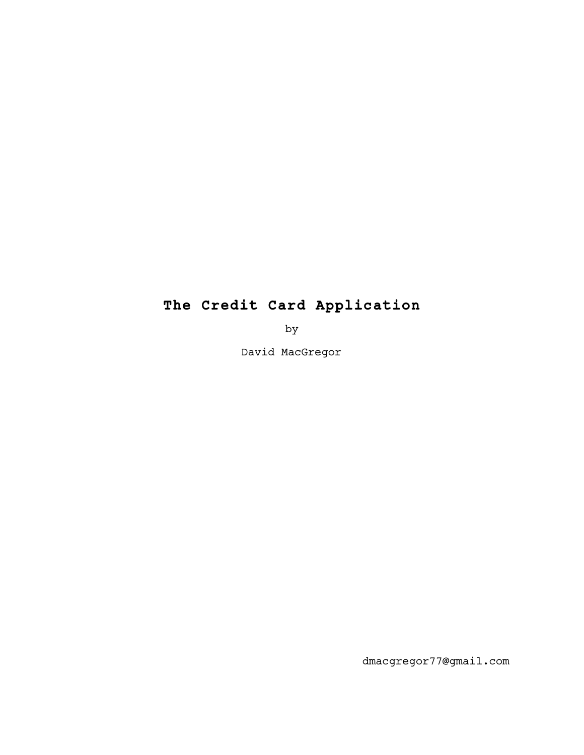## **The Credit Card Application**

by

David MacGregor

dmacgregor77@gmail.com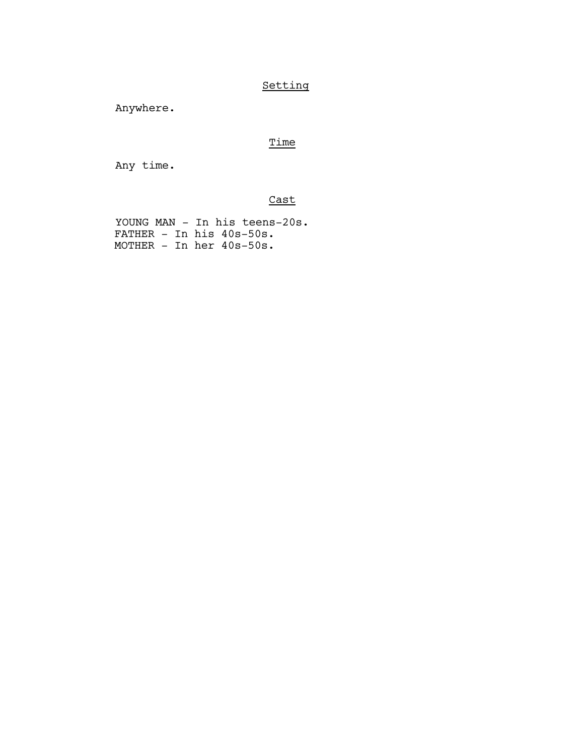## Setting

Anywhere.

## Time

Any time.

Cast

YOUNG MAN - In his teens-20s. FATHER - In his 40s-50s. MOTHER - In her 40s-50s.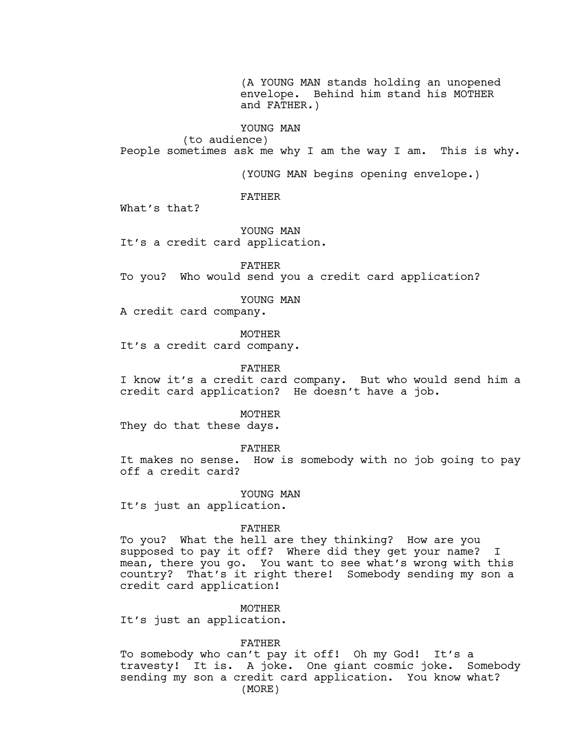(A YOUNG MAN stands holding an unopened envelope. Behind him stand his MOTHER and FATHER.)

YOUNG MAN

(to audience) People sometimes ask me why I am the way I am. This is why.

(YOUNG MAN begins opening envelope.)

FATHER

What's that?

YOUNG MAN It's a credit card application.

FATHER To you? Who would send you a credit card application?

YOUNG MAN

A credit card company.

MOTHER

It's a credit card company.

FATHER

I know it's a credit card company. But who would send him a credit card application? He doesn't have a job.

MOTHER

They do that these days.

FATHER

It makes no sense. How is somebody with no job going to pay off a credit card?

YOUNG MAN

It's just an application.

FATHER

To you? What the hell are they thinking? How are you supposed to pay it off? Where did they get your name? I mean, there you go. You want to see what's wrong with this country? That's it right there! Somebody sending my son a credit card application!

MOTHER

It's just an application.

FATHER

To somebody who can't pay it off! Oh my God! It's a travesty! It is. A joke. One giant cosmic joke. Somebody sending my son a credit card application. You know what? (MORE)